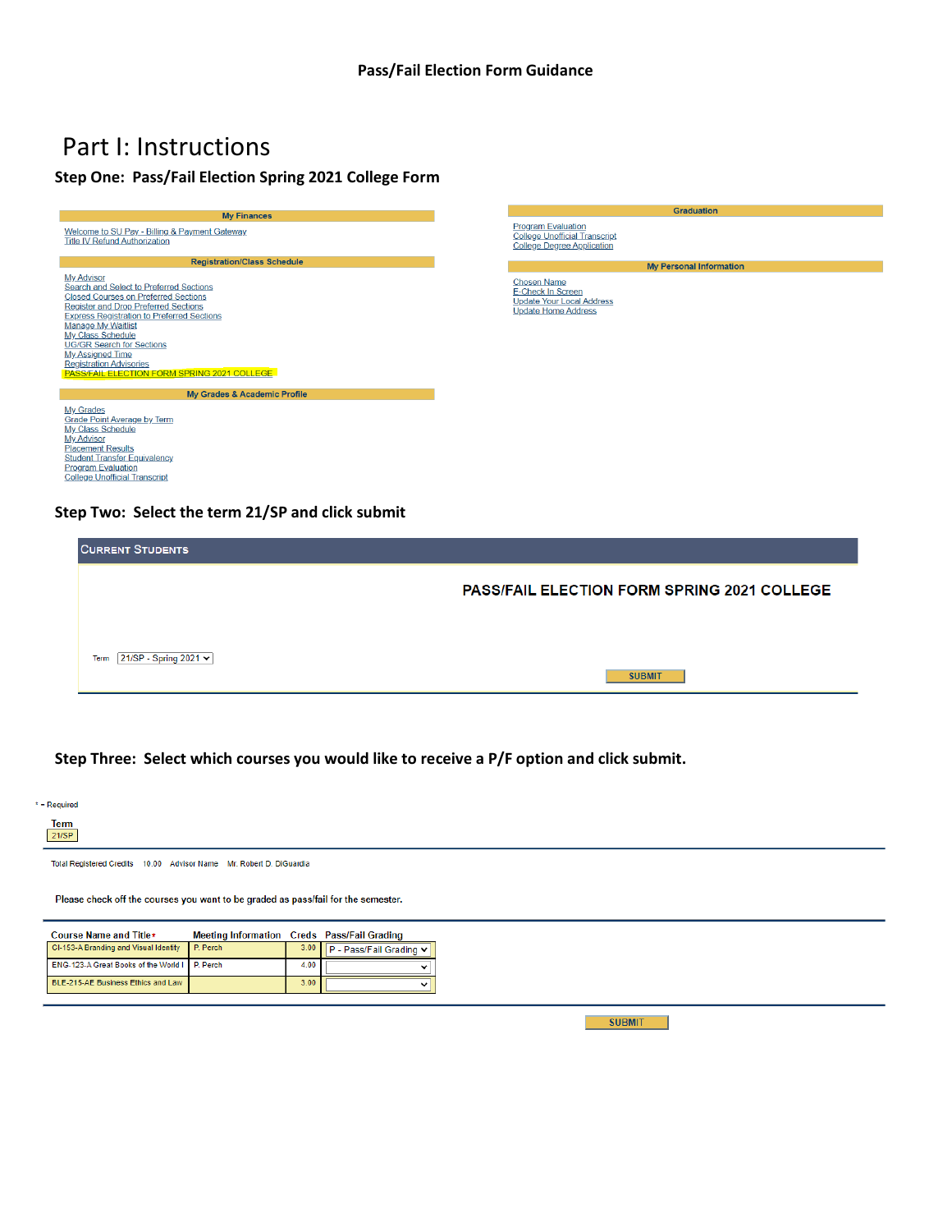## Part I: Instructions

### **Step One: Pass/Fail Election Spring 2021 College Form**





#### **Step Two: Select the term 21/SP and click submit**

| <b>PASS/FAIL ELECTION FORM SPRING 2021 COLLEGE</b> |
|----------------------------------------------------|
|                                                    |
|                                                    |

#### **Step Three: Select which courses you would like to receive a P/F option and click submit.**

| $*$ = Required |  |
|----------------|--|
| <b>Term</b>    |  |

 $21/SP$ 

Total Registered Credits 10.00 Advisor Name Mr. Robert D. DiGuardia

Please check off the courses you want to be graded as pass/fail for the semester.

| Course Name and Title*                        | Meeting Information Creds Pass/Fail Grading |      |                         |
|-----------------------------------------------|---------------------------------------------|------|-------------------------|
| CI-153-A Branding and Visual Identity         | P. Perch                                    | 3.00 | P - Pass/Fail Grading v |
| ENG-123-A Great Books of the World I P. Perch |                                             | 4.00 |                         |
| BLE-215-AE Business Ethics and Law            |                                             | 3.00 |                         |

**SUBMIT**